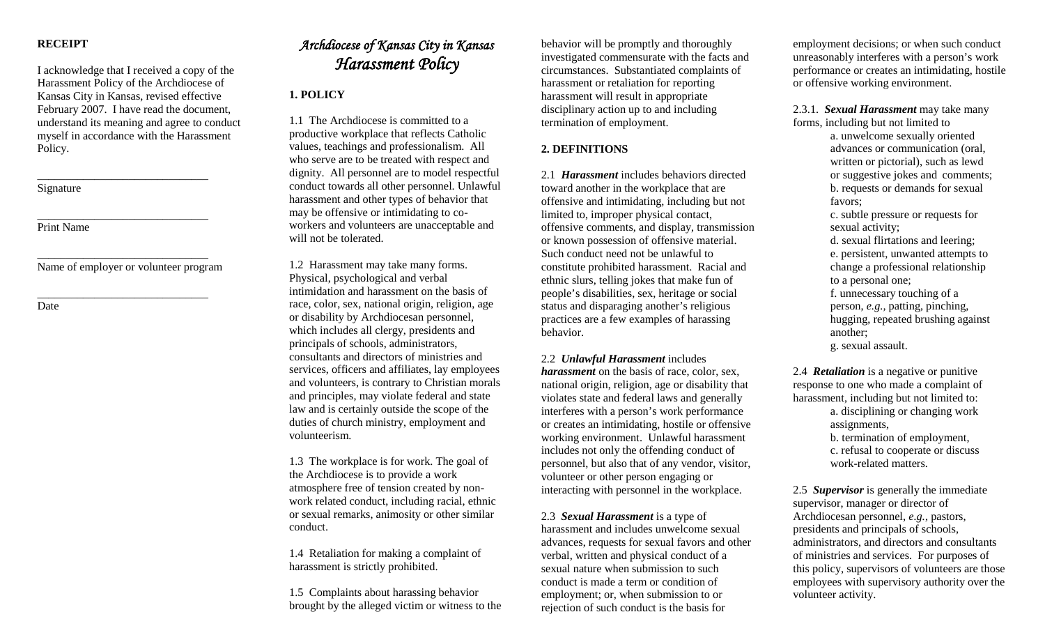# **RECEIPT**

I acknowledge that I received a copy of the Harassment Policy of the Archdiocese of Kansas City in Kansas, revised effective February 2007. I have read the document, understand its meaning and agree to conduct myself in accordance with the Harassment Policy.

Signature

Print Name

\_\_\_\_\_\_\_\_\_\_\_\_\_\_\_\_\_\_\_\_\_\_\_\_\_\_\_\_\_\_ Name of employer or volunteer program

\_\_\_\_\_\_\_\_\_\_\_\_\_\_\_\_\_\_\_\_\_\_\_\_\_\_\_\_\_\_

\_\_\_\_\_\_\_\_\_\_\_\_\_\_\_\_\_\_\_\_\_\_\_\_\_\_\_\_\_\_

\_\_\_\_\_\_\_\_\_\_\_\_\_\_\_\_\_\_\_\_\_\_\_\_\_\_\_\_\_\_

Date

# *Archdiocese of Kansas City in Kansas Harassment Policy*

# **1. POLICY**

1.1 The Archdiocese is committed to a productive workplace that reflects Catholic values, teachings and professionalism. All who serve are to be treated with respect and dignity. All personnel are to model respectful conduct towards all other personnel. Unlawful harassment and other types of behavior that may be offensive or intimidating to coworkers and volunteers are unacceptable and will not be tolerated.

1.2 Harassment may take many forms. Physical, psychological and verbal intimidation and harassment on the basis of race, color, sex, national origin, religion, age or disability by Archdiocesan personnel, which includes all clergy, presidents and principals of schools, administrators, consultants and directors of ministries and services, officers and affiliates, lay employees and volunteers, is contrary to Christian morals and principles, may violate federal and state law and is certainly outside the scope of the duties of church ministry, employment and volunteerism.

1.3 The workplace is for work. The goal of the Archdiocese is to provide a work atmosphere free of tension created by nonwork related conduct, including racial, ethnic or sexual remarks, animosity or other similar conduct.

1.4 Retaliation for making a complaint of harassment is strictly prohibited.

1.5 Complaints about harassing behavior brought by the alleged victim or witness to the

behavior will be promptly and thoroughly investigated commensurate with the facts and circumstances. Substantiated complaints of harassment or retaliation for reporting harassment will result in appropriate disciplinary action up to and including termination of employment.

# **2. DEFINITIONS**

2.1 *Harassment* includes behaviors directed toward another in the workplace that are offensive and intimidating, including but not limited to, improper physical contact, offensive comments, and display, transmission or known possession of offensive material. Such conduct need not be unlawful to constitute prohibited harassment. Racial and ethnic slurs, telling jokes that make fun of people's disabilities, sex, heritage or social status and disparaging another's religious practices are a few examples of harassing behavior.

#### 2.2 *Unlawful Harassment* includes

*harassment* on the basis of race, color, sex, national origin, religion, age or disability that violates state and federal laws and generally interferes with a person's work performance or creates an intimidating, hostile or offensive working environment. Unlawful harassment includes not only the offending conduct of personnel, but also that of any vendor, visitor, volunteer or other person engaging or interacting with personnel in the workplace.

2.3 *Sexual Harassment* is a type of harassment and includes unwelcome sexual advances, requests for sexual favors and other verbal, written and physical conduct of a sexual nature when submission to such conduct is made a term or condition of employment; or, when submission to or rejection of such conduct is the basis for

employment decisions; or when such conduct unreasonably interferes with a person's work performance or creates an intimidating, hostile or offensive working environment.

2.3.1. *Sexual Harassment* may take many forms, including but not limited to

> a. unwelcome sexually oriented advances or communication (oral, written or pictorial), such as lewd or suggestive jokes and comments; b. requests or demands for sexual favors;

c. subtle pressure or requests for sexual activity;

d. sexual flirtations and leering; e. persistent, unwanted attempts to change a professional relationship to a personal one;

f. unnecessary touching of a person, *e.g.,* patting, pinching, hugging, repeated brushing against another;

g. sexual assault.

2.4 *Retaliation* is a negative or punitive response to one who made a complaint of harassment, including but not limited to: a. disciplining or changing work assignments, b. termination of employment, c. refusal to cooperate or discuss work-related matters.

2.5 *Supervisor* is generally the immediate supervisor, manager or director of Archdiocesan personnel, *e.g.,* pastors, presidents and principals of schools, administrators, and directors and consultants of ministries and services. For purposes of this policy, supervisors of volunteers are those employees with supervisory authority over the volunteer activity.